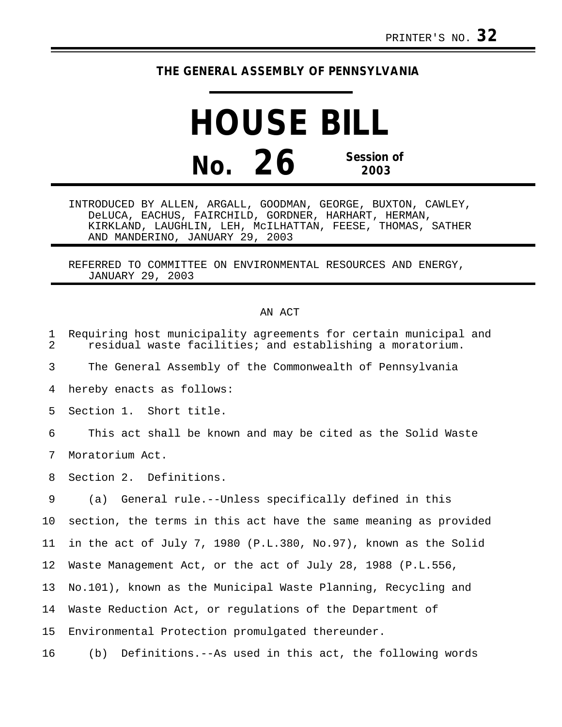## **THE GENERAL ASSEMBLY OF PENNSYLVANIA**

**HOUSE BILL No. 26 Session of 2003**

INTRODUCED BY ALLEN, ARGALL, GOODMAN, GEORGE, BUXTON, CAWLEY, DeLUCA, EACHUS, FAIRCHILD, GORDNER, HARHART, HERMAN, KIRKLAND, LAUGHLIN, LEH, McILHATTAN, FEESE, THOMAS, SATHER AND MANDERINO, JANUARY 29, 2003

REFERRED TO COMMITTEE ON ENVIRONMENTAL RESOURCES AND ENERGY, JANUARY 29, 2003

## AN ACT

| $\mathbf 1$<br>$\overline{a}$ | Requiring host municipality agreements for certain municipal and<br>residual waste facilities; and establishing a moratorium. |
|-------------------------------|-------------------------------------------------------------------------------------------------------------------------------|
| 3                             | The General Assembly of the Commonwealth of Pennsylvania                                                                      |
| 4                             | hereby enacts as follows:                                                                                                     |
| 5                             | Section 1. Short title.                                                                                                       |
| 6                             | This act shall be known and may be cited as the Solid Waste                                                                   |
| 7                             | Moratorium Act.                                                                                                               |
| 8                             | Section 2. Definitions.                                                                                                       |
| 9                             | General rule.--Unless specifically defined in this<br>(a)                                                                     |
| 10                            | section, the terms in this act have the same meaning as provided                                                              |
| 11                            | in the act of July 7, 1980 (P.L.380, No.97), known as the Solid                                                               |
| 12                            | Waste Management Act, or the act of July 28, 1988 (P.L.556,                                                                   |
| 13                            | No.101), known as the Municipal Waste Planning, Recycling and                                                                 |
| 14                            | Waste Reduction Act, or regulations of the Department of                                                                      |
| 15                            | Environmental Protection promulgated thereunder.                                                                              |
|                               |                                                                                                                               |

16 (b) Definitions.--As used in this act, the following words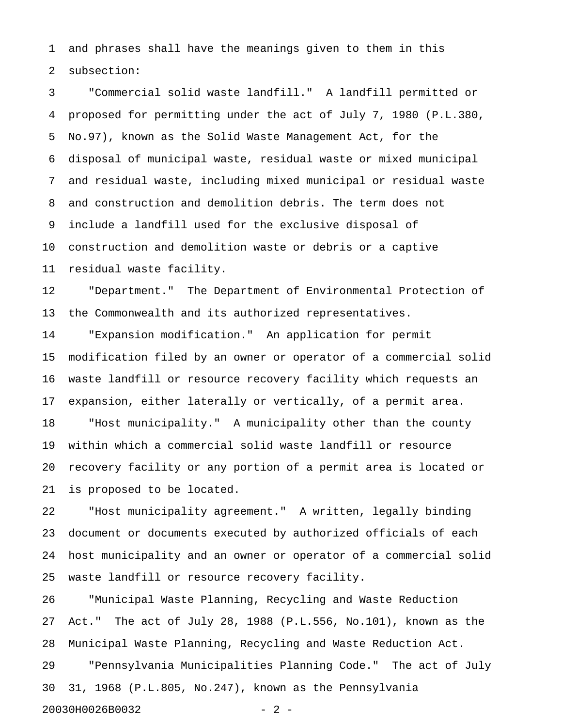1 and phrases shall have the meanings given to them in this 2 subsection:

3 "Commercial solid waste landfill." A landfill permitted or 4 proposed for permitting under the act of July 7, 1980 (P.L.380, 5 No.97), known as the Solid Waste Management Act, for the 6 disposal of municipal waste, residual waste or mixed municipal 7 and residual waste, including mixed municipal or residual waste 8 and construction and demolition debris. The term does not 9 include a landfill used for the exclusive disposal of 10 construction and demolition waste or debris or a captive 11 residual waste facility.

12 "Department." The Department of Environmental Protection of 13 the Commonwealth and its authorized representatives.

14 "Expansion modification." An application for permit 15 modification filed by an owner or operator of a commercial solid 16 waste landfill or resource recovery facility which requests an 17 expansion, either laterally or vertically, of a permit area. 18 "Host municipality." A municipality other than the county 19 within which a commercial solid waste landfill or resource 20 recovery facility or any portion of a permit area is located or 21 is proposed to be located.

22 "Host municipality agreement." A written, legally binding 23 document or documents executed by authorized officials of each 24 host municipality and an owner or operator of a commercial solid 25 waste landfill or resource recovery facility.

26 "Municipal Waste Planning, Recycling and Waste Reduction 27 Act." The act of July 28, 1988 (P.L.556, No.101), known as the 28 Municipal Waste Planning, Recycling and Waste Reduction Act.

29 "Pennsylvania Municipalities Planning Code." The act of July 30 31, 1968 (P.L.805, No.247), known as the Pennsylvania

20030H0026B0032 - 2 -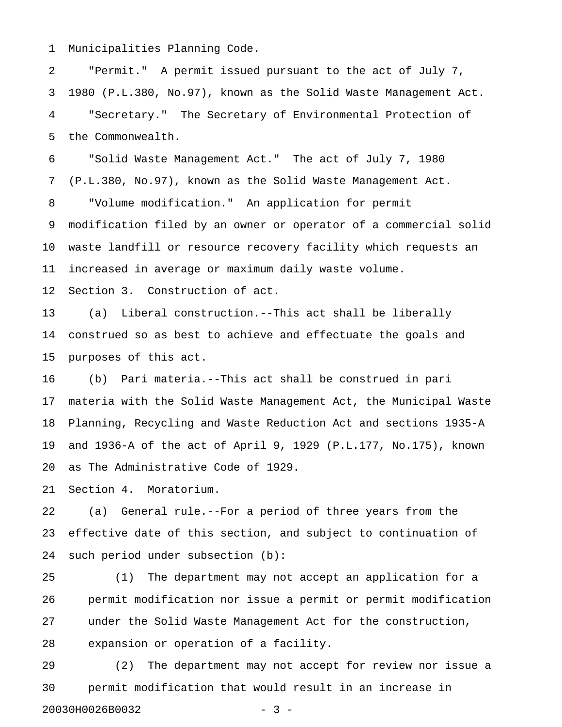1 Municipalities Planning Code.

2 "Permit." A permit issued pursuant to the act of July 7, 3 1980 (P.L.380, No.97), known as the Solid Waste Management Act. 4 "Secretary." The Secretary of Environmental Protection of 5 the Commonwealth.

6 "Solid Waste Management Act." The act of July 7, 1980 7 (P.L.380, No.97), known as the Solid Waste Management Act. 8 "Volume modification." An application for permit 9 modification filed by an owner or operator of a commercial solid 10 waste landfill or resource recovery facility which requests an 11 increased in average or maximum daily waste volume.

12 Section 3. Construction of act.

13 (a) Liberal construction.--This act shall be liberally 14 construed so as best to achieve and effectuate the goals and 15 purposes of this act.

16 (b) Pari materia.--This act shall be construed in pari 17 materia with the Solid Waste Management Act, the Municipal Waste 18 Planning, Recycling and Waste Reduction Act and sections 1935-A 19 and 1936-A of the act of April 9, 1929 (P.L.177, No.175), known 20 as The Administrative Code of 1929.

21 Section 4. Moratorium.

22 (a) General rule.--For a period of three years from the 23 effective date of this section, and subject to continuation of 24 such period under subsection (b):

25 (1) The department may not accept an application for a 26 permit modification nor issue a permit or permit modification 27 under the Solid Waste Management Act for the construction, 28 expansion or operation of a facility.

29 (2) The department may not accept for review nor issue a 30 permit modification that would result in an increase in 20030H0026B0032 - 3 -